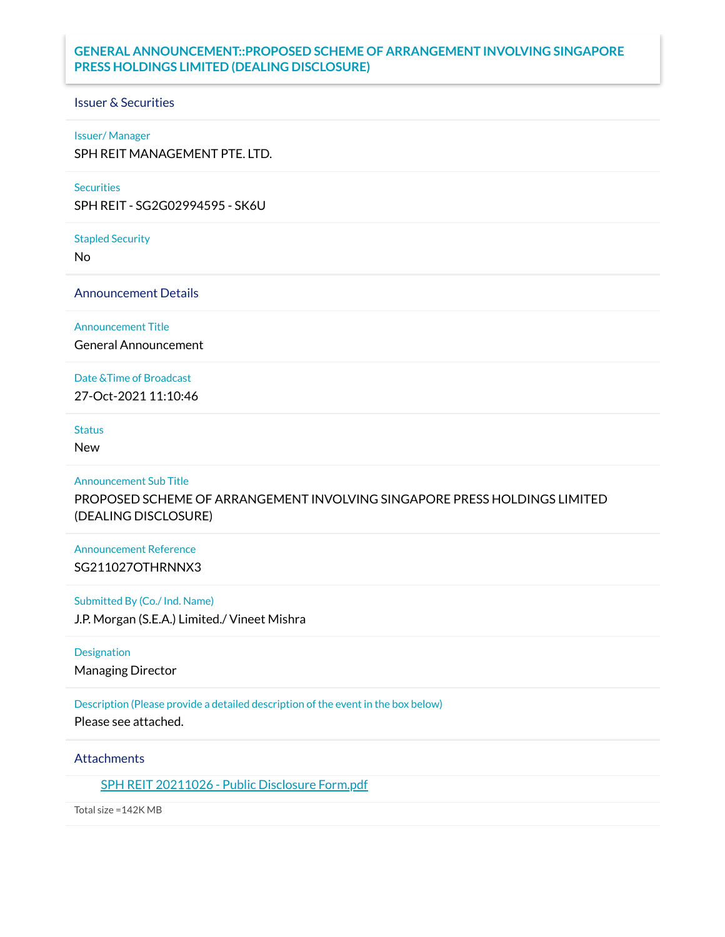# **GENERAL ANNOUNCEMENT::PROPOSED SCHEME OF ARRANGEMENT INVOLVING SINGAPORE PRESS HOLDINGS LIMITED (DEALING DISCLOSURE)**

#### Issuer & Securities

#### Issuer/ Manager

SPH REIT MANAGEMENT PTE. LTD.

#### **Securities**

SPH REIT - SG2G02994595 - SK6U

Stapled Security

No

Announcement Details

Announcement Title

General Announcement

Date &Time of Broadcast

27-Oct-2021 11:10:46

# **Status**

New

#### Announcement Sub Title

PROPOSED SCHEME OF ARRANGEMENT INVOLVING SINGAPORE PRESS HOLDINGS LIMITED (DEALING DISCLOSURE)

### Announcement Reference SG211027OTHRNNX3

#### Submitted By (Co./ Ind. Name)

J.P. Morgan (S.E.A.) Limited./ Vineet Mishra

### Designation

Managing Director

### Description (Please provide a detailed description of the event in the box below)

Please see attached.

### **Attachments**

SPH REIT [20211026](https://links.sgx.com/1.0.0/corporate-announcements/DCFTB7AJUGY18DFM/688195_SPH%20REIT%2020211026%20-%20Public%20Disclosure%20Form.pdf) - Public Disclosure Form.pdf

Total size =142K MB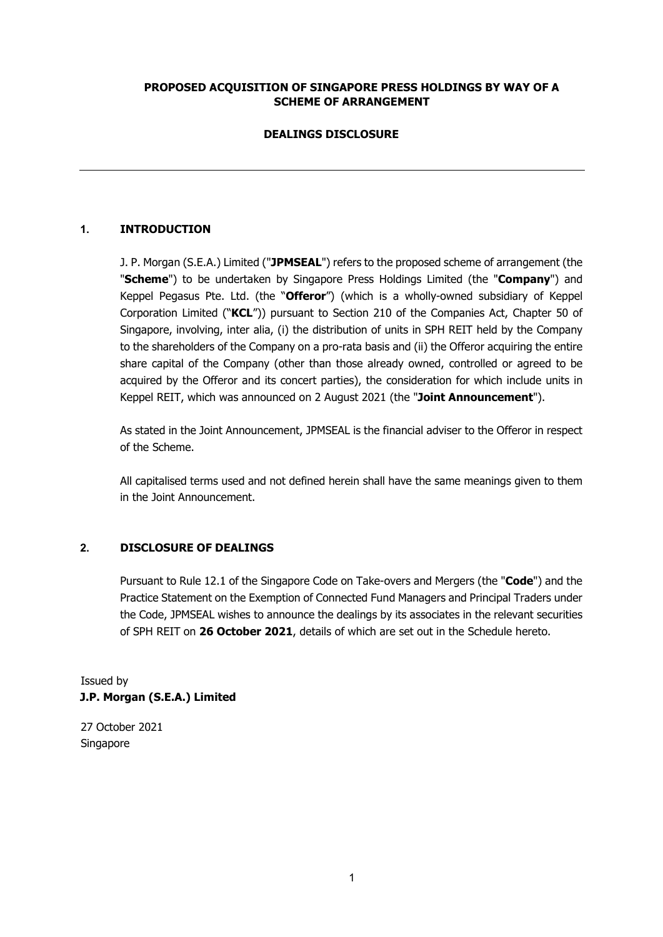# **PROPOSED ACQUISITION OF SINGAPORE PRESS HOLDINGS BY WAY OF A SCHEME OF ARRANGEMENT**

# **DEALINGS DISCLOSURE**

# **1. INTRODUCTION**

J. P. Morgan (S.E.A.) Limited ("**JPMSEAL**") refers to the proposed scheme of arrangement (the "**Scheme**") to be undertaken by Singapore Press Holdings Limited (the "**Company**") and Keppel Pegasus Pte. Ltd. (the "**Offeror**") (which is a wholly-owned subsidiary of Keppel Corporation Limited ("**KCL**")) pursuant to Section 210 of the Companies Act, Chapter 50 of Singapore, involving, inter alia, (i) the distribution of units in SPH REIT held by the Company to the shareholders of the Company on a pro-rata basis and (ii) the Offeror acquiring the entire share capital of the Company (other than those already owned, controlled or agreed to be acquired by the Offeror and its concert parties), the consideration for which include units in Keppel REIT, which was announced on 2 August 2021 (the "**Joint Announcement**").

As stated in the Joint Announcement, JPMSEAL is the financial adviser to the Offeror in respect of the Scheme.

All capitalised terms used and not defined herein shall have the same meanings given to them in the Joint Announcement.

### **2. DISCLOSURE OF DEALINGS**

Pursuant to Rule 12.1 of the Singapore Code on Take-overs and Mergers (the "**Code**") and the Practice Statement on the Exemption of Connected Fund Managers and Principal Traders under the Code, JPMSEAL wishes to announce the dealings by its associates in the relevant securities of SPH REIT on **26 October 2021**, details of which are set out in the Schedule hereto.

Issued by **J.P. Morgan (S.E.A.) Limited** 

27 October 2021 Singapore